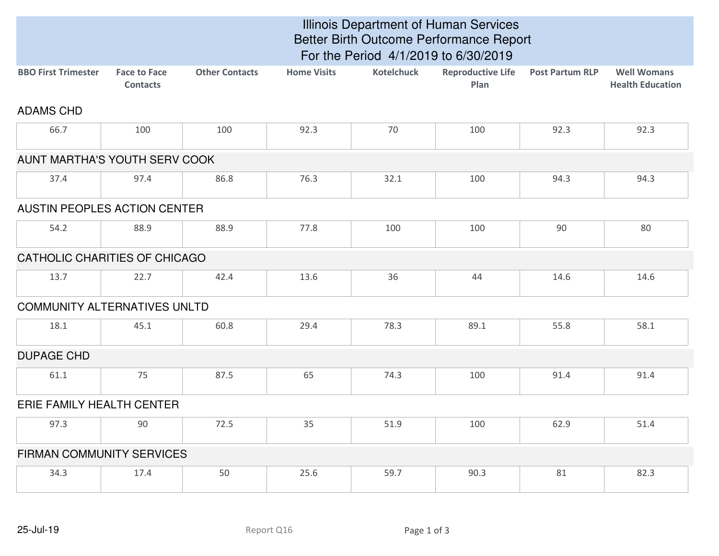|                                     | Illinois Department of Human Services<br>Better Birth Outcome Performance Report<br>For the Period 4/1/2019 to 6/30/2019 |                       |                    |                   |                                  |                        |                                               |  |
|-------------------------------------|--------------------------------------------------------------------------------------------------------------------------|-----------------------|--------------------|-------------------|----------------------------------|------------------------|-----------------------------------------------|--|
| <b>BBO First Trimester</b>          | <b>Face to Face</b><br><b>Contacts</b>                                                                                   | <b>Other Contacts</b> | <b>Home Visits</b> | <b>Kotelchuck</b> | <b>Reproductive Life</b><br>Plan | <b>Post Partum RLP</b> | <b>Well Womans</b><br><b>Health Education</b> |  |
| <b>ADAMS CHD</b>                    |                                                                                                                          |                       |                    |                   |                                  |                        |                                               |  |
| 66.7                                | 100                                                                                                                      | 100                   | 92.3               | 70                | 100                              | 92.3                   | 92.3                                          |  |
| AUNT MARTHA'S YOUTH SERV COOK       |                                                                                                                          |                       |                    |                   |                                  |                        |                                               |  |
| 37.4                                | 97.4                                                                                                                     | 86.8                  | 76.3               | 32.1              | 100                              | 94.3                   | 94.3                                          |  |
| AUSTIN PEOPLES ACTION CENTER        |                                                                                                                          |                       |                    |                   |                                  |                        |                                               |  |
| 54.2                                | 88.9                                                                                                                     | 88.9                  | 77.8               | 100               | 100                              | 90                     | 80                                            |  |
| CATHOLIC CHARITIES OF CHICAGO       |                                                                                                                          |                       |                    |                   |                                  |                        |                                               |  |
| 13.7                                | 22.7                                                                                                                     | 42.4                  | 13.6               | 36                | 44                               | 14.6                   | 14.6                                          |  |
| <b>COMMUNITY ALTERNATIVES UNLTD</b> |                                                                                                                          |                       |                    |                   |                                  |                        |                                               |  |
| 18.1                                | 45.1                                                                                                                     | 60.8                  | 29.4               | 78.3              | 89.1                             | 55.8                   | 58.1                                          |  |
| <b>DUPAGE CHD</b>                   |                                                                                                                          |                       |                    |                   |                                  |                        |                                               |  |
| 61.1                                | 75                                                                                                                       | 87.5                  | 65                 | 74.3              | 100                              | 91.4                   | 91.4                                          |  |
| ERIE FAMILY HEALTH CENTER           |                                                                                                                          |                       |                    |                   |                                  |                        |                                               |  |
| 97.3                                | 90                                                                                                                       | 72.5                  | 35                 | 51.9              | 100                              | 62.9                   | 51.4                                          |  |
| <b>FIRMAN COMMUNITY SERVICES</b>    |                                                                                                                          |                       |                    |                   |                                  |                        |                                               |  |
| 34.3                                | 17.4                                                                                                                     | 50                    | 25.6               | 59.7              | 90.3                             | 81                     | 82.3                                          |  |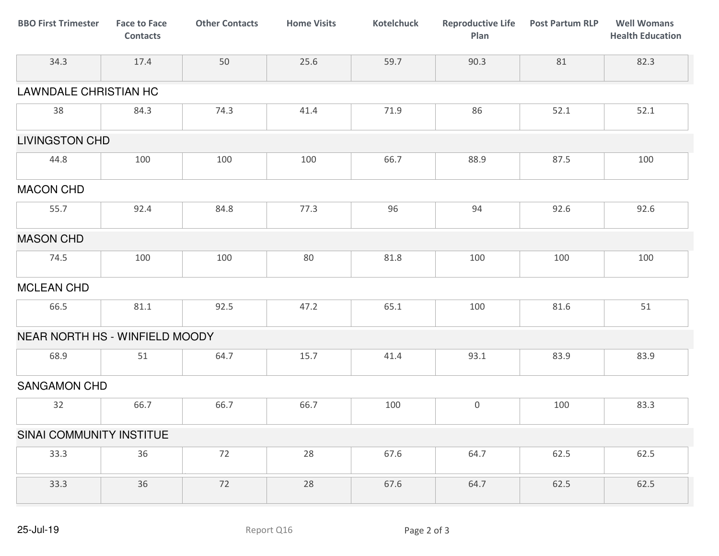| <b>BBO First Trimester</b>     | <b>Face to Face</b><br><b>Contacts</b> | <b>Other Contacts</b> | <b>Home Visits</b> | <b>Kotelchuck</b> | <b>Reproductive Life</b><br>Plan | <b>Post Partum RLP</b> | <b>Well Womans</b><br><b>Health Education</b> |
|--------------------------------|----------------------------------------|-----------------------|--------------------|-------------------|----------------------------------|------------------------|-----------------------------------------------|
| 34.3                           | 17.4                                   | 50                    | 25.6               | 59.7              | 90.3                             | 81                     | 82.3                                          |
| <b>LAWNDALE CHRISTIAN HC</b>   |                                        |                       |                    |                   |                                  |                        |                                               |
| 38                             | 84.3                                   | 74.3                  | 41.4               | 71.9              | 86                               | 52.1                   | 52.1                                          |
| <b>LIVINGSTON CHD</b>          |                                        |                       |                    |                   |                                  |                        |                                               |
| 44.8                           | 100                                    | 100                   | 100                | 66.7              | 88.9                             | 87.5                   | 100                                           |
| <b>MACON CHD</b>               |                                        |                       |                    |                   |                                  |                        |                                               |
| 55.7                           | 92.4                                   | 84.8                  | 77.3               | 96                | 94                               | 92.6                   | 92.6                                          |
| <b>MASON CHD</b>               |                                        |                       |                    |                   |                                  |                        |                                               |
| 74.5                           | 100                                    | 100                   | 80                 | 81.8              | 100                              | 100                    | 100                                           |
| <b>MCLEAN CHD</b>              |                                        |                       |                    |                   |                                  |                        |                                               |
| 66.5                           | 81.1                                   | 92.5                  | 47.2               | 65.1              | 100                              | 81.6                   | 51                                            |
| NEAR NORTH HS - WINFIELD MOODY |                                        |                       |                    |                   |                                  |                        |                                               |
| 68.9                           | 51                                     | 64.7                  | 15.7               | 41.4              | 93.1                             | 83.9                   | 83.9                                          |
| SANGAMON CHD                   |                                        |                       |                    |                   |                                  |                        |                                               |
| 32                             | 66.7                                   | 66.7                  | 66.7               | 100               | $\boldsymbol{0}$                 | 100                    | 83.3                                          |
| SINAI COMMUNITY INSTITUE       |                                        |                       |                    |                   |                                  |                        |                                               |
| 33.3                           | 36                                     | 72                    | 28                 | 67.6              | 64.7                             | 62.5                   | 62.5                                          |
| 33.3                           | 36                                     | 72                    | 28                 | 67.6              | 64.7                             | 62.5                   | 62.5                                          |